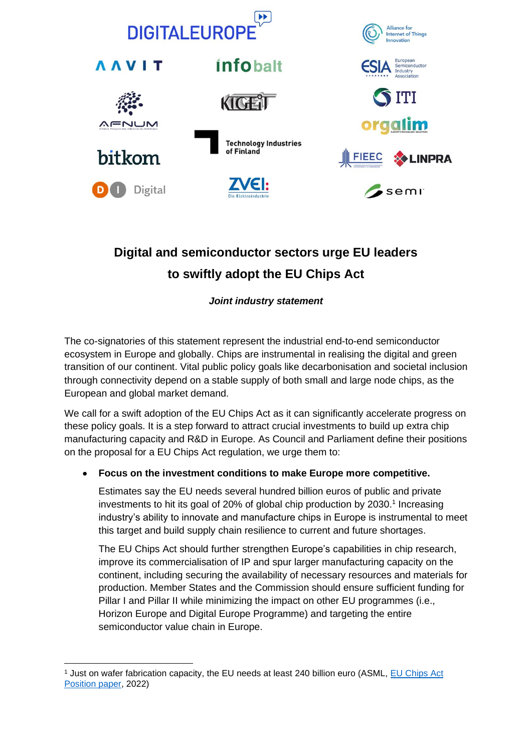

# **Digital and semiconductor sectors urge EU leaders to swiftly adopt the EU Chips Act**

## *Joint industry statement*

The co-signatories of this statement represent the industrial end-to-end semiconductor ecosystem in Europe and globally. Chips are instrumental in realising the digital and green transition of our continent. Vital public policy goals like decarbonisation and societal inclusion through connectivity depend on a stable supply of both small and large node chips, as the European and global market demand.

We call for a swift adoption of the EU Chips Act as it can significantly accelerate progress on these policy goals. It is a step forward to attract crucial investments to build up extra chip manufacturing capacity and R&D in Europe. As Council and Parliament define their positions on the proposal for a EU Chips Act regulation, we urge them to:

### • **Focus on the investment conditions to make Europe more competitive.**

Estimates say the EU needs several hundred billion euros of public and private investments to hit its goal of 20% of global chip production by 2030. 1 Increasing industry's ability to innovate and manufacture chips in Europe is instrumental to meet this target and build supply chain resilience to current and future shortages.

The EU Chips Act should further strengthen Europe's capabilities in chip research, improve its commercialisation of IP and spur larger manufacturing capacity on the continent, including securing the availability of necessary resources and materials for production. Member States and the Commission should ensure sufficient funding for Pillar I and Pillar II while minimizing the impact on other EU programmes (i.e., Horizon Europe and Digital Europe Programme) and targeting the entire semiconductor value chain in Europe.

<sup>1</sup> Just on wafer fabrication capacity, the EU needs at least 240 billion euro (ASML, [EU Chips Act](https://www.asml.com/en/news/press-releases/2022/asml-position-paper-on-eu-chips-act)  [Position paper,](https://www.asml.com/en/news/press-releases/2022/asml-position-paper-on-eu-chips-act) 2022)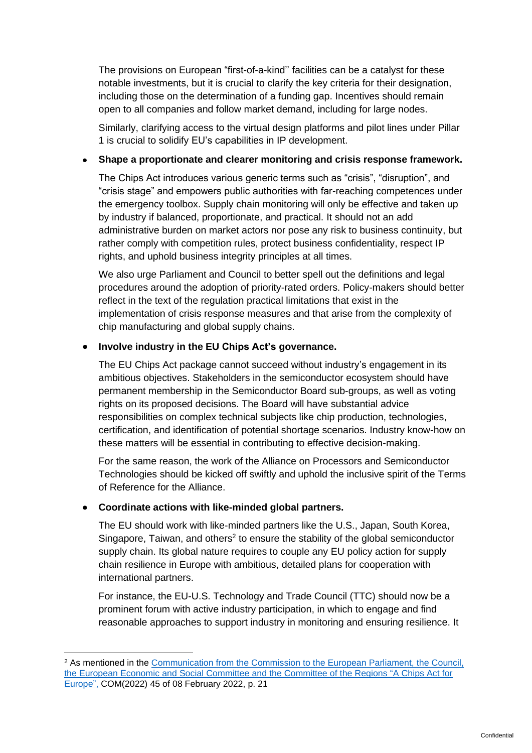The provisions on European "first-of-a-kind'' facilities can be a catalyst for these notable investments, but it is crucial to clarify the key criteria for their designation, including those on the determination of a funding gap. Incentives should remain open to all companies and follow market demand, including for large nodes.

Similarly, clarifying access to the virtual design platforms and pilot lines under Pillar 1 is crucial to solidify EU's capabilities in IP development.

#### • **Shape a proportionate and clearer monitoring and crisis response framework.**

The Chips Act introduces various generic terms such as "crisis", "disruption", and "crisis stage" and empowers public authorities with far-reaching competences under the emergency toolbox. Supply chain monitoring will only be effective and taken up by industry if balanced, proportionate, and practical. It should not an add administrative burden on market actors nor pose any risk to business continuity, but rather comply with competition rules, protect business confidentiality, respect IP rights, and uphold business integrity principles at all times.

We also urge Parliament and Council to better spell out the definitions and legal procedures around the adoption of priority-rated orders. Policy-makers should better reflect in the text of the regulation practical limitations that exist in the implementation of crisis response measures and that arise from the complexity of chip manufacturing and global supply chains.

#### • **Involve industry in the EU Chips Act's governance.**

The EU Chips Act package cannot succeed without industry's engagement in its ambitious objectives. Stakeholders in the semiconductor ecosystem should have permanent membership in the Semiconductor Board sub-groups, as well as voting rights on its proposed decisions. The Board will have substantial advice responsibilities on complex technical subjects like chip production, technologies, certification, and identification of potential shortage scenarios. Industry know-how on these matters will be essential in contributing to effective decision-making.

For the same reason, the work of the Alliance on Processors and Semiconductor Technologies should be kicked off swiftly and uphold the inclusive spirit of the Terms of Reference for the Alliance.

#### • **Coordinate actions with like-minded global partners.**

The EU should work with like-minded partners like the U.S., Japan, South Korea, Singapore, Taiwan, and others<sup>2</sup> to ensure the stability of the global semiconductor supply chain. Its global nature requires to couple any EU policy action for supply chain resilience in Europe with ambitious, detailed plans for cooperation with international partners.

For instance, the EU-U.S. Technology and Trade Council (TTC) should now be a prominent forum with active industry participation, in which to engage and find reasonable approaches to support industry in monitoring and ensuring resilience. It

<sup>&</sup>lt;sup>2</sup> As mentioned in the Communication from the Commission to the European Parliament, the Council, [the European Economic and Social Committee and the Committee of the Regions "A Chips Act for](https://ec.europa.eu/newsroom/dae/redirection/document/83086)  [Europe",](https://ec.europa.eu/newsroom/dae/redirection/document/83086) COM(2022) 45 of 08 February 2022, p. 21